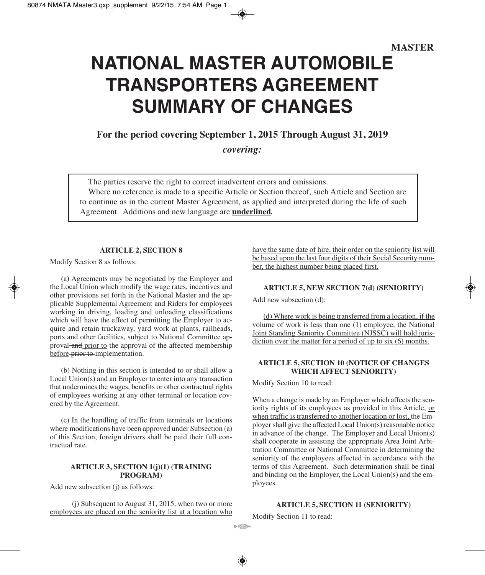# **NATIONAL MASTER AUTOMOBILE TRANSPORTERS AGREEMENT SUMMARY OF CHANGES**

# **For the period covering September 1, 2015 Through August 31, 2019**

*covering:*

The parties reserve the right to correct inadvertent errors and omissions. Where no reference is made to a specific Article or Section thereof, such Article and Section are to continue as in the current Master Agreement, as applied and interpreted during the life of such Agreement. Additions and new language are **underlined***.*

## **ARTICLE 2, SECTION 8**

Modify Section 8 as follows:

(a) Agreements may be negotiated by the Employer and the Local Union which modify the wage rates, incentives and other provisions set forth in the National Master and the applicable Supplemental Agreement and Riders for employees working in driving, loading and unloading classifications which will have the effect of permitting the Employer to acquire and retain truckaway, yard work at plants, railheads, ports and other facilities, subject to National Committee approval-and prior to the approval of the affected membership before-prior to-implementation.

(b) Nothing in this section is intended to or shall allow a Local Union(s) and an Employer to enter into any transaction that undermines the wages, benefits or other contractual rights of employees working at any other terminal or location covered by the Agreement.

(c) In the handling of traffic from terminals or locations where modifications have been approved under Subsection (a) of this Section, foreign drivers shall be paid their full contractual rate.

## **ARTICLE 3, SECTION 1(j)(1) (TRAINING PROGRAM)**

Add new subsection (j) as follows:

(j) Subsequent to August 31, 2015, when two or more employees are placed on the seniority list at a location who have the same date of hire, their order on the seniority list will be based upon the last four digits of their Social Security number, the highest number being placed first.

#### **ARTICLE 5, NEW SECTION 7(d) (SENIORITY)**

Add new subsection (d):

(d) Where work is being transferred from a location, if the volume of work is less than one (1) employee, the National Joint Standing Seniority Committee (NJSSC) will hold jurisdiction over the matter for a period of up to six (6) months.

## **ARTICLE 5, SECTION 10 (NOTICE OF CHANGES WHICH AFFECT SENIORITY)**

Modify Section 10 to read:

When a change is made by an Employer which affects the seniority rights of its employees as provided in this Article, or when traffic is transferred to another location or lost, the Employer shall give the affected Local Union(s) reasonable notice in advance of the change. The Employer and Local Union(s) shall cooperate in assisting the appropriate Area Joint Arbitration Committee or National Committee in determining the seniority of the employees affected in accordance with the terms of this Agreement. Such determination shall be final and binding on the Employer, the Local Union(s) and the employees.

## **ARTICLE 5, SECTION 11 (SENIORITY)**

Modify Section 11 to read:

mention to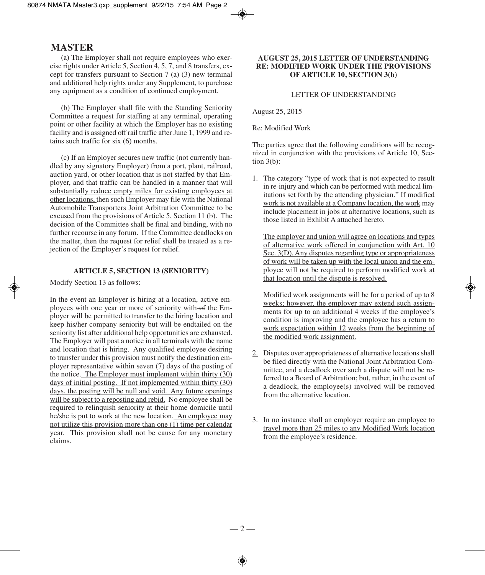(a) The Employer shall not require employees who exercise rights under Article 5, Section 4, 5, 7, and 8 transfers, except for transfers pursuant to Section 7 (a) (3) new terminal and additional help rights under any Supplement, to purchase any equipment as a condition of continued employment.

(b) The Employer shall file with the Standing Seniority Committee a request for staffing at any terminal, operating point or other facility at which the Employer has no existing facility and is assigned off rail traffic after June 1, 1999 and retains such traffic for six (6) months.

(c) If an Employer secures new traffic (not currently handled by any signatory Employer) from a port, plant, railroad, auction yard, or other location that is not staffed by that Employer, and that traffic can be handled in a manner that will substantially reduce empty miles for existing employees at other locations, then such Employer may file with the National Automobile Transporters Joint Arbitration Committee to be excused from the provisions of Article 5, Section 11 (b). The decision of the Committee shall be final and binding, with no further recourse in any forum. If the Committee deadlocks on the matter, then the request for relief shall be treated as a rejection of the Employer's request for relief.

#### **ARTICLE 5, SECTION 13 (SENIORITY)**

Modify Section 13 as follows:

In the event an Employer is hiring at a location, active employees with one year or more of seniority with-of the Employer will be permitted to transfer to the hiring location and keep his/her company seniority but will be endtailed on the seniority list after additional help opportunities are exhausted. The Employer will post a notice in all terminals with the name and location that is hiring. Any qualified employee desiring to transfer under this provision must notify the destination employer representative within seven (7) days of the posting of the notice. The Employer must implement within thirty (30) days of initial posting. If not implemented within thirty (30) days, the posting will be null and void. Any future openings will be subject to a reposting and rebid. No employee shall be required to relinquish seniority at their home domicile until he/she is put to work at the new location. An employee may not utilize this provision more than one (1) time per calendar year. This provision shall not be cause for any monetary claims.

## **AUGUST 25, 2015 LETTER OF UNDERSTANDING RE: MODIFIED WORK UNDER THE PROVISIONS OF ARTICLE 10, SECTION 3(b)**

## LETTER OF UNDERSTANDING

August 25, 2015

Re: Modified Work

The parties agree that the following conditions will be recognized in conjunction with the provisions of Article 10, Section 3(b):

1. The category "type of work that is not expected to result in re-injury and which can be performed with medical limitations set forth by the attending physician." If modified work is not available at a Company location, the work may include placement in jobs at alternative locations, such as those listed in Exhibit A attached hereto.

The employer and union will agree on locations and types of alternative work offered in conjunction with Art. 10 Sec. 3(D). Any disputes regarding type or appropriateness of work will be taken up with the local union and the employee will not be required to perform modified work at that location until the dispute is resolved.

Modified work assignments will be for a period of up to 8 weeks; however, the employer may extend such assignments for up to an additional 4 weeks if the employee's condition is improving and the employee has a return to work expectation within 12 weeks from the beginning of the modified work assignment.

- 2. Disputes over appropriateness of alternative locations shall be filed directly with the National Joint Arbitration Committee, and a deadlock over such a dispute will not be referred to a Board of Arbitration; but, rather, in the event of a deadlock, the employee(s) involved will be removed from the alternative location.
- 3. In no instance shall an employer require an employee to travel more than 25 miles to any Modified Work location from the employee's residence.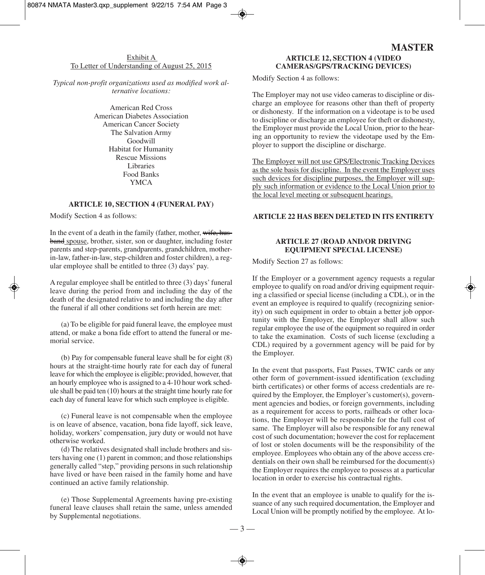## Exhibit A To Letter of Understanding of August 25, 2015

*Typical non-profit organizations used as modified work alternative locations:*

> American Red Cross American Diabetes Association American Cancer Society The Salvation Army Goodwill Habitat for Humanity Rescue Missions Libraries Food Banks YMCA

#### **ARTICLE 10, SECTION 4 (FUNERAL PAY)**

Modify Section 4 as follows:

In the event of a death in the family (father, mother, wife, husband spouse, brother, sister, son or daughter, including foster parents and step-parents, grandparents, grandchildren, motherin-law, father-in-law, step-children and foster children), a regular employee shall be entitled to three (3) days' pay.

A regular employee shall be entitled to three (3) days'funeral leave during the period from and including the day of the death of the designated relative to and including the day after the funeral if all other conditions set forth herein are met:

(a) To be eligible for paid funeral leave, the employee must attend, or make a bona fide effort to attend the funeral or memorial service.

(b) Pay for compensable funeral leave shall be for eight (8) hours at the straight-time hourly rate for each day of funeral leave for which the employee is eligible; provided, however, that an hourly employee who is assigned to a 4-10 hour work schedule shall be paid ten (10) hours at the straight time hourly rate for each day of funeral leave for which such employee is eligible.

(c) Funeral leave is not compensable when the employee is on leave of absence, vacation, bona fide layoff, sick leave, holiday, workers' compensation, jury duty or would not have otherwise worked.

(d) The relatives designated shall include brothers and sisters having one (1) parent in common; and those relationships generally called "step," providing persons in such relationship have lived or have been raised in the family home and have continued an active family relationship.

(e) Those Supplemental Agreements having pre-existing funeral leave clauses shall retain the same, unless amended by Supplemental negotiations.

# **MASTER ARTICLE 12, SECTION 4 (VIDEO CAMERAS/GPS/TRACKING DEVICES)**

Modify Section 4 as follows:

The Employer may not use video cameras to discipline or discharge an employee for reasons other than theft of property or dishonesty. If the information on a videotape is to be used to discipline or discharge an employee for theft or dishonesty, the Employer must provide the Local Union, prior to the hearing an opportunity to review the videotape used by the Employer to support the discipline or discharge.

The Employer will not use GPS/Electronic Tracking Devices as the sole basis for discipline. In the event the Employer uses such devices for discipline purposes, the Employer will supply such information or evidence to the Local Union prior to the local level meeting or subsequent hearings.

#### **ARTICLE 22 HAS BEEN DELETED IN ITS ENTIRETY**

## **ARTICLE 27 (ROAD AND/OR DRIVING EQUIPMENT SPECIAL LICENSE)**

Modify Section 27 as follows:

If the Employer or a government agency requests a regular employee to qualify on road and/or driving equipment requiring a classified or special license (including a CDL), or in the event an employee is required to qualify (recognizing seniority) on such equipment in order to obtain a better job opportunity with the Employer, the Employer shall allow such regular employee the use of the equipment so required in order to take the examination. Costs of such license (excluding a CDL) required by a government agency will be paid for by the Employer.

In the event that passports, Fast Passes, TWIC cards or any other form of government-issued identification (excluding birth certificates) or other forms of access credentials are required by the Employer, the Employer's customer(s), government agencies and bodies, or foreign governments, including as a requirement for access to ports, railheads or other locations, the Employer will be responsible for the full cost of same. The Employer will also be responsible for any renewal cost of such documentation; however the cost for replacement of lost or stolen documents will be the responsibility of the employee. Employees who obtain any of the above access credentials on their own shall be reimbursed for the document(s) the Employer requires the employee to possess at a particular location in order to exercise his contractual rights.

In the event that an employee is unable to qualify for the issuance of any such required documentation, the Employer and Local Union will be promptly notified by the employee. At lo-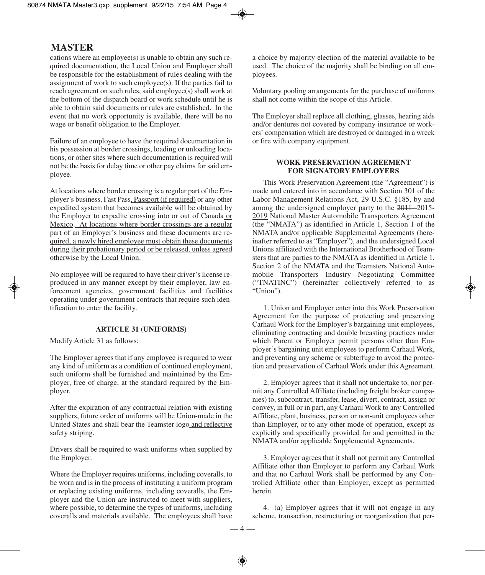cations where an employee(s) is unable to obtain any such required documentation, the Local Union and Employer shall be responsible for the establishment of rules dealing with the assignment of work to such employee(s). If the parties fail to reach agreement on such rules, said employee(s) shall work at the bottom of the dispatch board or work schedule until he is able to obtain said documents or rules are established. In the event that no work opportunity is available, there will be no wage or benefit obligation to the Employer.

Failure of an employee to have the required documentation in his possession at border crossings, loading or unloading locations, or other sites where such documentation is required will not be the basis for delay time or other pay claims for said employee.

At locations where border crossing is a regular part of the Employer's business, Fast Pass, Passport (if required) or any other expedited system that becomes available will be obtained by the Employer to expedite crossing into or out of Canada or Mexico. At locations where border crossings are a regular part of an Employer's business and these documents are required, a newly hired employee must obtain these documents during their probationary period or be released, unless agreed otherwise by the Local Union.

No employee will be required to have their driver's license reproduced in any manner except by their employer, law enforcement agencies, government facilities and facilities operating under government contracts that require such identification to enter the facility.

#### **ARTICLE 31 (UNIFORMS)**

Modify Article 31 as follows:

The Employer agrees that if any employee is required to wear any kind of uniform as a condition of continued employment, such uniform shall be furnished and maintained by the Employer, free of charge, at the standard required by the Employer.

After the expiration of any contractual relation with existing suppliers, future order of uniforms will be Union-made in the United States and shall bear the Teamster logo and reflective safety striping.

Drivers shall be required to wash uniforms when supplied by the Employer.

Where the Employer requires uniforms, including coveralls, to be worn and is in the process of instituting a uniform program or replacing existing uniforms, including coveralls, the Employer and the Union are instructed to meet with suppliers, where possible, to determine the types of uniforms, including coveralls and materials available. The employees shall have a choice by majority election of the material available to be used. The choice of the majority shall be binding on all employees.

Voluntary pooling arrangements for the purchase of uniforms shall not come within the scope of this Article.

The Employer shall replace all clothing, glasses, hearing aids and/or dentures not covered by company insurance or workers' compensation which are destroyed or damaged in a wreck or fire with company equipment.

## **WORK PRESERVATION AGREEMENT FOR SIGNATORY EMPLOYERS**

This Work Preservation Agreement (the "Agreement") is made and entered into in accordance with Section 301 of the Labor Management Relations Act, 29 U.S.C. §185, by and among the undersigned employer party to the  $2011-2015$ -2019 National Master Automobile Transporters Agreement (the "NMATA") as identified in Article 1, Section 1 of the NMATA and/or applicable Supplemental Agreements (hereinafter referred to as "Employer"), and the undersigned Local Unions affiliated with the International Brotherhood of Teamsters that are parties to the NMATA as identified in Article 1, Section 2 of the NMATA and the Teamsters National Automobile Transporters Industry Negotiating Committee ("TNATINC") (hereinafter collectively referred to as "Union").

1. Union and Employer enter into this Work Preservation Agreement for the purpose of protecting and preserving Carhaul Work for the Employer's bargaining unit employees, eliminating contracting and double breasting practices under which Parent or Employer permit persons other than Employer's bargaining unit employees to perform Carhaul Work, and preventing any scheme or subterfuge to avoid the protection and preservation of Carhaul Work under this Agreement.

2. Employer agrees that it shall not undertake to, nor permit any Controlled Affiliate (including freight broker companies) to, subcontract, transfer, lease, divert, contract, assign or convey, in full or in part, any Carhaul Work to any Controlled Affiliate, plant, business, person or non-unit employees other than Employer, or to any other mode of operation, except as explicitly and specifically provided for and permitted in the NMATA and/or applicable Supplemental Agreements.

3. Employer agrees that it shall not permit any Controlled Affiliate other than Employer to perform any Carhaul Work and that no Carhaul Work shall be performed by any Controlled Affiliate other than Employer, except as permitted herein.

4. (a) Employer agrees that it will not engage in any scheme, transaction, restructuring or reorganization that per-

 $-4-$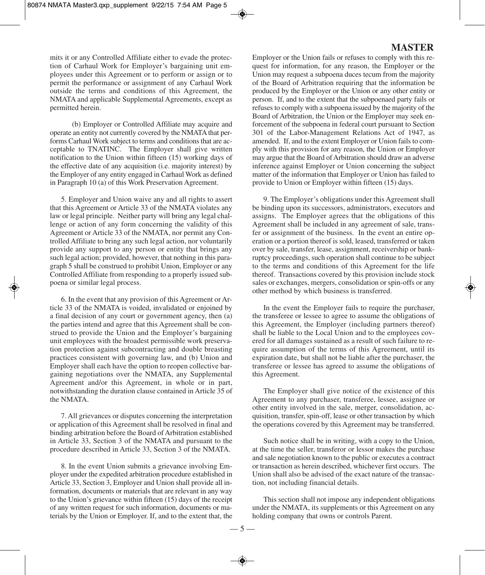mits it or any Controlled Affiliate either to evade the protection of Carhaul Work for Employer's bargaining unit employees under this Agreement or to perform or assign or to permit the performance or assignment of any Carhaul Work outside the terms and conditions of this Agreement, the NMATA and applicable Supplemental Agreements, except as permitted herein.

(b) Employer or Controlled Affiliate may acquire and operate an entity not currently covered by the NMATA that performs Carhaul Work subject to terms and conditions that are acceptable to TNATINC. The Employer shall give written notification to the Union within fifteen (15) working days of the effective date of any acquisition (i.e. majority interest) by the Employer of any entity engaged in Carhaul Work as defined in Paragraph 10 (a) of this Work Preservation Agreement.

5. Employer and Union waive any and all rights to assert that this Agreement or Article 33 of the NMATA violates any law or legal principle. Neither party will bring any legal challenge or action of any form concerning the validity of this Agreement or Article 33 of the NMATA, nor permit any Controlled Affiliate to bring any such legal action, nor voluntarily provide any support to any person or entity that brings any such legal action; provided, however, that nothing in this paragraph 5 shall be construed to prohibit Union, Employer or any Controlled Affiliate from responding to a properly issued subpoena or similar legal process.

6. In the event that any provision of this Agreement or Article 33 of the NMATA is voided, invalidated or enjoined by a final decision of any court or government agency, then (a) the parties intend and agree that this Agreement shall be construed to provide the Union and the Employer's bargaining unit employees with the broadest permissible work preservation protection against subcontracting and double breasting practices consistent with governing law, and (b) Union and Employer shall each have the option to reopen collective bargaining negotiations over the NMATA, any Supplemental Agreement and/or this Agreement, in whole or in part, notwithstanding the duration clause contained in Article 35 of the NMATA.

7. All grievances or disputes concerning the interpretation or application of this Agreement shall be resolved in final and binding arbitration before the Board of Arbitration established in Article 33, Section 3 of the NMATA and pursuant to the procedure described in Article 33, Section 3 of the NMATA.

8. In the event Union submits a grievance involving Employer under the expedited arbitration procedure established in Article 33, Section 3, Employer and Union shall provide all information, documents or materials that are relevant in any way to the Union's grievance within fifteen (15) days of the receipt of any written request for such information, documents or materials by the Union or Employer. If, and to the extent that, the

# **MASTER**

Employer or the Union fails or refuses to comply with this request for information, for any reason, the Employer or the Union may request a subpoena duces tecum from the majority of the Board of Arbitration requiring that the information be produced by the Employer or the Union or any other entity or person. If, and to the extent that the subpoenaed party fails or refusesto comply with a subpoena issued by the majority of the Board of Arbitration, the Union or the Employer may seek enforcement of the subpoena in federal court pursuant to Section 301 of the Labor-Management Relations Act of 1947, as amended. If, and to the extent Employer or Union fails to comply with this provision for any reason, the Union or Employer may argue that the Board of Arbitration should draw an adverse inference against Employer or Union concerning the subject matter of the information that Employer or Union has failed to provide to Union or Employer within fifteen (15) days.

9. The Employer's obligations under this Agreement shall be binding upon its successors, administrators, executors and assigns. The Employer agrees that the obligations of this Agreement shall be included in any agreement of sale, transfer or assignment of the business. In the event an entire operation or a portion thereof is sold, leased, transferred or taken over by sale, transfer, lease, assignment, receivership or bankruptcy proceedings, such operation shall continue to be subject to the terms and conditions of this Agreement for the life thereof. Transactions covered by this provision include stock sales or exchanges, mergers, consolidation or spin-offs or any other method by which business is transferred.

In the event the Employer fails to require the purchaser, the transferee or lessee to agree to assume the obligations of this Agreement, the Employer (including partners thereof) shall be liable to the Local Union and to the employees covered for all damages sustained as a result of such failure to require assumption of the terms of this Agreement, until its expiration date, but shall not be liable after the purchaser, the transferee or lessee has agreed to assume the obligations of this Agreement.

The Employer shall give notice of the existence of this Agreement to any purchaser, transferee, lessee, assignee or other entity involved in the sale, merger, consolidation, acquisition, transfer, spin-off, lease or other transaction by which the operations covered by this Agreement may be transferred.

Such notice shall be in writing, with a copy to the Union, at the time the seller, transferor or lessor makes the purchase and sale negotiation known to the public or executes a contract or transaction as herein described, whichever first occurs. The Union shall also be advised of the exact nature of the transaction, not including financial details.

This section shall not impose any independent obligations under the NMATA, its supplements or this Agreement on any holding company that owns or controls Parent.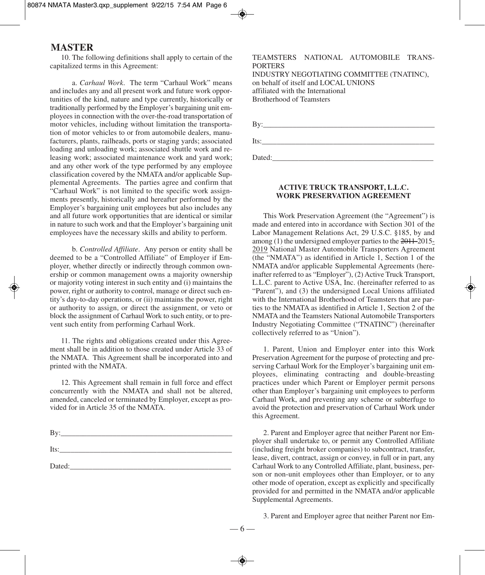10. The following definitions shall apply to certain of the capitalized terms in this Agreement:

a. *Carhaul Work*. The term "Carhaul Work" means and includes any and all present work and future work opportunities of the kind, nature and type currently, historically or traditionally performed by the Employer's bargaining unit employees in connection with the over-the-road transportation of motor vehicles, including without limitation the transportation of motor vehicles to or from automobile dealers, manufacturers, plants, railheads, ports or staging yards; associated loading and unloading work; associated shuttle work and releasing work; associated maintenance work and yard work; and any other work of the type performed by any employee classification covered by the NMATA and/or applicable Supplemental Agreements. The parties agree and confirm that "Carhaul Work" is not limited to the specific work assignments presently, historically and hereafter performed by the Employer's bargaining unit employees but also includes any and all future work opportunities that are identical or similar in nature to such work and that the Employer's bargaining unit employees have the necessary skills and ability to perform.

b. *Controlled Affiliate*. Any person or entity shall be deemed to be a "Controlled Affiliate" of Employer if Employer, whether directly or indirectly through common ownership or common management owns a majority ownership or majority voting interest in such entity and (i) maintains the power, right or authority to control, manage or direct such entity's day-to-day operations, or (ii) maintains the power, right or authority to assign, or direct the assignment, or veto or block the assignment of Carhaul Work to such entity, or to prevent such entity from performing Carhaul Work.

11. The rights and obligations created under this Agreement shall be in addition to those created under Article 33 of the NMATA. This Agreement shall be incorporated into and printed with the NMATA.

12. This Agreement shall remain in full force and effect concurrently with the NMATA and shall not be altered, amended, canceled or terminated by Employer, except as provided for in Article 35 of the NMATA.

| $Bv$ : |  |  |
|--------|--|--|
| Its:   |  |  |
|        |  |  |

 $Dated:$ 

TEAMSTERS NATIONAL AUTOMOBILE TRANS-PORTERS INDUSTRY NEGOTIATING COMMITTEE (TNATINC), on behalf of itself and LOCAL UNIONS affiliated with the International Brotherhood of Teamsters

By:\_\_\_\_\_\_\_\_\_\_\_\_\_\_\_\_\_\_\_\_\_\_\_\_\_\_\_\_\_\_\_\_\_\_\_\_\_\_\_\_\_\_\_\_\_\_  $Its:\_$ 

Dated:

## **ACTIVE TRUCK TRANSPORT, L.L.C. WORK PRESERVATION AGREEMENT**

This Work Preservation Agreement (the "Agreement") is made and entered into in accordance with Section 301 of the Labor Management Relations Act, 29 U.S.C. §185, by and among (1) the undersigned employer parties to the 2011-2015- 2019 National Master Automobile Transporters Agreement (the "NMATA") as identified in Article 1, Section 1 of the NMATA and/or applicable Supplemental Agreements (hereinafter referred to as "Employer"), (2) Active Truck Transport, L.L.C. parent to Active USA, Inc. (hereinafter referred to as "Parent"), and (3) the undersigned Local Unions affiliated with the International Brotherhood of Teamsters that are parties to the NMATA as identified in Article 1, Section 2 of the NMATA and the Teamsters National Automobile Transporters Industry Negotiating Committee ("TNATINC") (hereinafter collectively referred to as "Union").

1. Parent, Union and Employer enter into this Work Preservation Agreement for the purpose of protecting and preserving Carhaul Work for the Employer's bargaining unit employees, eliminating contracting and double-breasting practices under which Parent or Employer permit persons other than Employer's bargaining unit employees to perform Carhaul Work, and preventing any scheme or subterfuge to avoid the protection and preservation of Carhaul Work under this Agreement.

2. Parent and Employer agree that neither Parent nor Employer shall undertake to, or permit any Controlled Affiliate (including freight broker companies) to subcontract, transfer, lease, divert, contract, assign or convey, in full or in part, any Carhaul Work to any Controlled Affiliate, plant, business, person or non-unit employees other than Employer, or to any other mode of operation, except as explicitly and specifically provided for and permitted in the NMATA and/or applicable Supplemental Agreements.

3. Parent and Employer agree that neither Parent nor Em-

— 6 —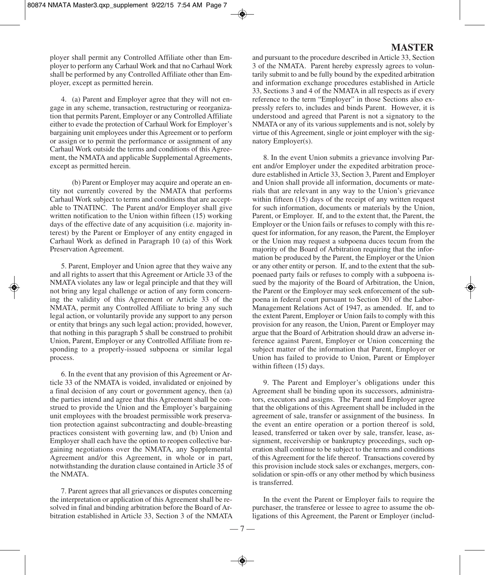ployer shall permit any Controlled Affiliate other than Employer to perform any Carhaul Work and that no Carhaul Work shall be performed by any Controlled Affiliate other than Employer, except as permitted herein.

4. (a) Parent and Employer agree that they will not engage in any scheme, transaction, restructuring or reorganization that permits Parent, Employer or any Controlled Affiliate either to evade the protection of Carhaul Work for Employer's bargaining unit employees under this Agreement or to perform or assign or to permit the performance or assignment of any Carhaul Work outside the terms and conditions of this Agreement, the NMATA and applicable Supplemental Agreements, except as permitted herein.

(b) Parent or Employer may acquire and operate an entity not currently covered by the NMATA that performs Carhaul Work subject to terms and conditions that are acceptable to TNATINC. The Parent and/or Employer shall give written notification to the Union within fifteen (15) working days of the effective date of any acquisition (i.e. majority interest) by the Parent or Employer of any entity engaged in Carhaul Work as defined in Paragraph 10 (a) of this Work Preservation Agreement.

5. Parent, Employer and Union agree that they waive any and all rights to assert that this Agreement or Article 33 of the NMATA violates any law or legal principle and that they will not bring any legal challenge or action of any form concerning the validity of this Agreement or Article 33 of the NMATA, permit any Controlled Affiliate to bring any such legal action, or voluntarily provide any support to any person or entity that brings any such legal action; provided, however, that nothing in this paragraph 5 shall be construed to prohibit Union, Parent, Employer or any Controlled Affiliate from responding to a properly-issued subpoena or similar legal process.

6. In the event that any provision of this Agreement or Article 33 of the NMATA is voided, invalidated or enjoined by a final decision of any court or government agency, then (a) the parties intend and agree that this Agreement shall be construed to provide the Union and the Employer's bargaining unit employees with the broadest permissible work preservation protection against subcontracting and double-breasting practices consistent with governing law, and (b) Union and Employer shall each have the option to reopen collective bargaining negotiations over the NMATA, any Supplemental Agreement and/or this Agreement, in whole or in part, notwithstanding the duration clause contained in Article 35 of the NMATA.

7. Parent agrees that all grievances or disputes concerning the interpretation or application of this Agreement shall be resolved in final and binding arbitration before the Board of Arbitration established in Article 33, Section 3 of the NMATA

# **MASTER**

and pursuant to the procedure described in Article 33, Section 3 of the NMATA. Parent hereby expressly agrees to voluntarily submit to and be fully bound by the expedited arbitration and information exchange procedures established in Article 33, Sections 3 and 4 of the NMATA in all respects as if every reference to the term "Employer" in those Sections also expressly refers to, includes and binds Parent. However, it is understood and agreed that Parent is not a signatory to the NMATA or any of its various supplements and is not, solely by virtue of this Agreement, single or joint employer with the signatory Employer(s).

8. In the event Union submits a grievance involving Parent and/or Employer under the expedited arbitration procedure established in Article 33, Section 3, Parent and Employer and Union shall provide all information, documents or materials that are relevant in any way to the Union's grievance within fifteen (15) days of the receipt of any written request for such information, documents or materials by the Union, Parent, or Employer. If, and to the extent that, the Parent, the Employer or the Union fails or refuses to comply with this request for information, for any reason, the Parent, the Employer or the Union may request a subpoena duces tecum from the majority of the Board of Arbitration requiring that the information be produced by the Parent, the Employer or the Union or any other entity or person. If, and to the extent that the subpoenaed party fails or refuses to comply with a subpoena issued by the majority of the Board of Arbitration, the Union, the Parent or the Employer may seek enforcement of the subpoena in federal court pursuant to Section 301 of the Labor-Management Relations Act of 1947, as amended. If, and to the extent Parent, Employer or Union fails to comply with this provision for any reason, the Union, Parent or Employer may argue that the Board of Arbitration should draw an adverse inference against Parent, Employer or Union concerning the subject matter of the information that Parent, Employer or Union has failed to provide to Union, Parent or Employer within fifteen (15) days.

9. The Parent and Employer's obligations under this Agreement shall be binding upon its successors, administrators, executors and assigns. The Parent and Employer agree that the obligations of this Agreement shall be included in the agreement of sale, transfer or assignment of the business. In the event an entire operation or a portion thereof is sold, leased, transferred or taken over by sale, transfer, lease, assignment, receivership or bankruptcy proceedings, such operation shall continue to be subject to the terms and conditions of this Agreement for the life thereof. Transactions covered by this provision include stock sales or exchanges, mergers, consolidation or spin-offs or any other method by which business is transferred.

In the event the Parent or Employer fails to require the purchaser, the transferee or lessee to agree to assume the obligations of this Agreement, the Parent or Employer (includ-

— 7 —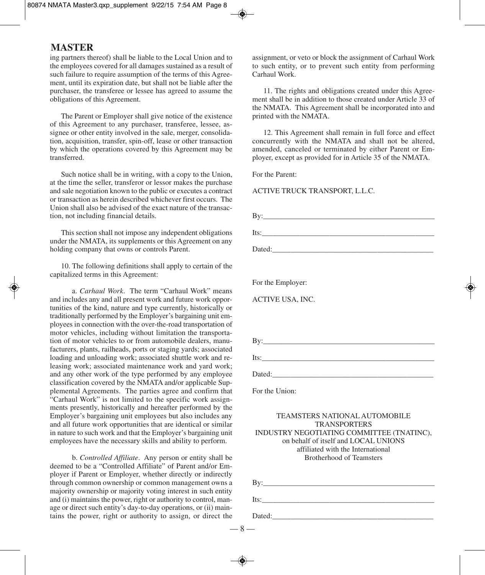ing partners thereof) shall be liable to the Local Union and to the employees covered for all damages sustained as a result of such failure to require assumption of the terms of this Agreement, until its expiration date, but shall not be liable after the purchaser, the transferee or lessee has agreed to assume the obligations of this Agreement.

The Parent or Employer shall give notice of the existence of this Agreement to any purchaser, transferee, lessee, assignee or other entity involved in the sale, merger, consolidation, acquisition, transfer, spin-off, lease or other transaction by which the operations covered by this Agreement may be transferred.

Such notice shall be in writing, with a copy to the Union, at the time the seller, transferor or lessor makes the purchase and sale negotiation known to the public or executes a contract or transaction as herein described whichever first occurs. The Union shall also be advised of the exact nature of the transaction, not including financial details.

This section shall not impose any independent obligations under the NMATA, its supplements or this Agreement on any holding company that owns or controls Parent.

10. The following definitions shall apply to certain of the capitalized terms in this Agreement:

a. *Carhaul Work*. The term "Carhaul Work" means and includes any and all present work and future work opportunities of the kind, nature and type currently, historically or traditionally performed by the Employer's bargaining unit employees in connection with the over-the-road transportation of motor vehicles, including without limitation the transportation of motor vehicles to or from automobile dealers, manufacturers, plants, railheads, ports or staging yards; associated loading and unloading work; associated shuttle work and releasing work; associated maintenance work and yard work; and any other work of the type performed by any employee classification covered by the NMATA and/or applicable Supplemental Agreements. The parties agree and confirm that "Carhaul Work" is not limited to the specific work assignments presently, historically and hereafter performed by the Employer's bargaining unit employees but also includes any and all future work opportunities that are identical or similar in nature to such work and that the Employer's bargaining unit employees have the necessary skills and ability to perform.

b. *Controlled Affiliate*. Any person or entity shall be deemed to be a "Controlled Affiliate" of Parent and/or Employer if Parent or Employer, whether directly or indirectly through common ownership or common management owns a majority ownership or majority voting interest in such entity and (i) maintains the power, right or authority to control, manage or direct such entity's day-to-day operations, or (ii) maintains the power, right or authority to assign, or direct the assignment, or veto or block the assignment of Carhaul Work to such entity, or to prevent such entity from performing Carhaul Work.

11. The rights and obligations created under this Agreement shall be in addition to those created under Article 33 of the NMATA. This Agreement shall be incorporated into and printed with the NMATA.

12. This Agreement shall remain in full force and effect concurrently with the NMATA and shall not be altered, amended, canceled or terminated by either Parent or Employer, except as provided for in Article 35 of the NMATA.

For the Parent:

ACTIVE TRUCK TRANSPORT, L.L.C.

| For the Employer:                                                                 |
|-----------------------------------------------------------------------------------|
| ACTIVE USA, INC.                                                                  |
|                                                                                   |
|                                                                                   |
| By: $\frac{1}{2}$ By:                                                             |
|                                                                                   |
|                                                                                   |
| For the Union:                                                                    |
| <b>TEAMSTERS NATIONAL AUTOMOBILE</b>                                              |
| <b>TRANSPORTERS</b>                                                               |
| INDUSTRY NEGOTIATING COMMITTEE (TNATINC),<br>on behalf of itself and LOCAL UNIONS |
| affiliated with the International                                                 |
| <b>Brotherhood of Teamsters</b>                                                   |
|                                                                                   |
|                                                                                   |

 $-8 -$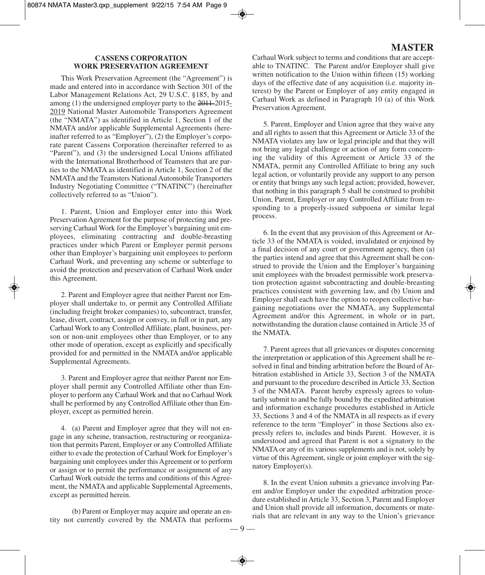## **CASSENS CORPORATION WORK PRESERVATION AGREEMENT**

This Work Preservation Agreement (the "Agreement") is made and entered into in accordance with Section 301 of the Labor Management Relations Act, 29 U.S.C. §185, by and among  $(1)$  the undersigned employer party to the  $2011-2015$ -2019 National Master Automobile Transporters Agreement (the "NMATA") as identified in Article 1, Section 1 of the NMATA and/or applicable Supplemental Agreements (hereinafter referred to as "Employer"), (2) the Employer's corporate parent Cassens Corporation (hereinafter referred to as "Parent"), and (3) the undersigned Local Unions affiliated with the International Brotherhood of Teamsters that are parties to the NMATA as identified in Article 1, Section 2 of the NMATA and the Teamsters National Automobile Transporters Industry Negotiating Committee ("TNATINC") (hereinafter collectively referred to as "Union").

1. Parent, Union and Employer enter into this Work Preservation Agreement for the purpose of protecting and preserving Carhaul Work for the Employer's bargaining unit employees, eliminating contracting and double-breasting practices under which Parent or Employer permit persons other than Employer's bargaining unit employees to perform Carhaul Work, and preventing any scheme or subterfuge to avoid the protection and preservation of Carhaul Work under this Agreement.

2. Parent and Employer agree that neither Parent nor Employer shall undertake to, or permit any Controlled Affiliate (including freight broker companies) to, subcontract, transfer, lease, divert, contract, assign or convey, in full or in part, any Carhaul Work to any Controlled Affiliate, plant, business, person or non-unit employees other than Employer, or to any other mode of operation, except as explicitly and specifically provided for and permitted in the NMATA and/or applicable Supplemental Agreements.

3. Parent and Employer agree that neither Parent nor Employer shall permit any Controlled Affiliate other than Employer to perform any Carhaul Work and that no Carhaul Work shall be performed by any Controlled Affiliate other than Employer, except as permitted herein.

4. (a) Parent and Employer agree that they will not engage in any scheme, transaction, restructuring or reorganization that permits Parent, Employer or any Controlled Affiliate either to evade the protection of Carhaul Work for Employer's bargaining unit employees under this Agreement or to perform or assign or to permit the performance or assignment of any Carhaul Work outside the terms and conditions of this Agreement, the NMATA and applicable Supplemental Agreements, except as permitted herein.

(b) Parent or Employer may acquire and operate an entity not currently covered by the NMATA that performs

# **MASTER**

Carhaul Work subject to terms and conditions that are acceptable to TNATINC. The Parent and/or Employer shall give written notification to the Union within fifteen (15) working days of the effective date of any acquisition (i.e. majority interest) by the Parent or Employer of any entity engaged in Carhaul Work as defined in Paragraph 10 (a) of this Work Preservation Agreement.

5. Parent, Employer and Union agree that they waive any and all rights to assert that this Agreement or Article 33 of the NMATA violates any law or legal principle and that they will not bring any legal challenge or action of any form concerning the validity of this Agreement or Article 33 of the NMATA, permit any Controlled Affiliate to bring any such legal action, or voluntarily provide any support to any person or entity that brings any such legal action; provided, however, that nothing in this paragraph 5 shall be construed to prohibit Union, Parent, Employer or any Controlled Affiliate from responding to a properly-issued subpoena or similar legal process.

6. In the event that any provision of this Agreement or Article 33 of the NMATA is voided, invalidated or enjoined by a final decision of any court or government agency, then (a) the parties intend and agree that this Agreement shall be construed to provide the Union and the Employer's bargaining unit employees with the broadest permissible work preservation protection against subcontracting and double-breasting practices consistent with governing law, and (b) Union and Employer shall each have the option to reopen collective bargaining negotiations over the NMATA, any Supplemental Agreement and/or this Agreement, in whole or in part, notwithstanding the duration clause contained in Article 35 of the NMATA.

7. Parent agrees that all grievances or disputes concerning the interpretation or application of this Agreement shall be resolved in final and binding arbitration before the Board of Arbitration established in Article 33, Section 3 of the NMATA and pursuant to the procedure described in Article 33, Section 3 of the NMATA. Parent hereby expressly agrees to voluntarily submit to and be fully bound by the expedited arbitration and information exchange procedures established in Article 33, Sections 3 and 4 of the NMATA in all respects as if every reference to the term "Employer" in those Sections also expressly refers to, includes and binds Parent. However, it is understood and agreed that Parent is not a signatory to the NMATA or any of its various supplements and is not, solely by virtue of this Agreement, single or joint employer with the signatory Employer(s).

8. In the event Union submits a grievance involving Parent and/or Employer under the expedited arbitration procedure established in Article 33, Section 3, Parent and Employer and Union shall provide all information, documents or materials that are relevant in any way to the Union's grievance

 $\overline{\phantom{0}}$   $\overline{\phantom{0}}$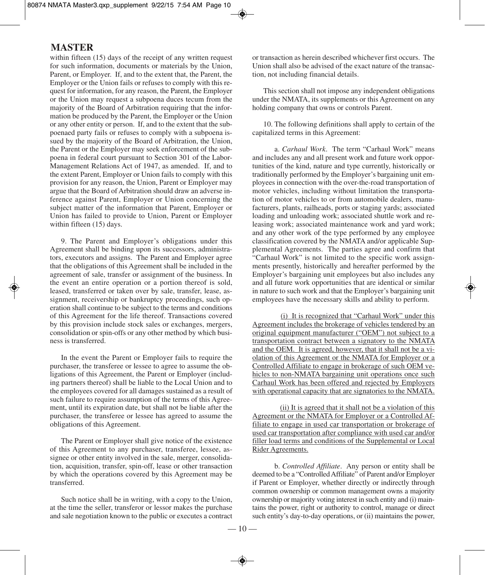within fifteen (15) days of the receipt of any written request for such information, documents or materials by the Union, Parent, or Employer. If, and to the extent that, the Parent, the Employer or the Union fails or refuses to comply with this request for information, for any reason, the Parent, the Employer or the Union may request a subpoena duces tecum from the majority of the Board of Arbitration requiring that the information be produced by the Parent, the Employer or the Union or any other entity or person. If, and to the extent that the subpoenaed party fails or refuses to comply with a subpoena issued by the majority of the Board of Arbitration, the Union, the Parent or the Employer may seek enforcement of the subpoena in federal court pursuant to Section 301 of the Labor-Management Relations Act of 1947, as amended. If, and to the extent Parent, Employer or Union fails to comply with this provision for any reason, the Union, Parent or Employer may argue that the Board of Arbitration should draw an adverse inference against Parent, Employer or Union concerning the subject matter of the information that Parent, Employer or Union has failed to provide to Union, Parent or Employer within fifteen (15) days.

9. The Parent and Employer's obligations under this Agreement shall be binding upon its successors, administrators, executors and assigns. The Parent and Employer agree that the obligations of this Agreement shall be included in the agreement of sale, transfer or assignment of the business. In the event an entire operation or a portion thereof is sold, leased, transferred or taken over by sale, transfer, lease, assignment, receivership or bankruptcy proceedings, such operation shall continue to be subject to the terms and conditions of this Agreement for the life thereof. Transactions covered by this provision include stock sales or exchanges, mergers, consolidation or spin-offs or any other method by which business is transferred.

In the event the Parent or Employer fails to require the purchaser, the transferee or lessee to agree to assume the obligations of this Agreement, the Parent or Employer (including partners thereof) shall be liable to the Local Union and to the employees covered for all damages sustained as a result of such failure to require assumption of the terms of this Agreement, until its expiration date, but shall not be liable after the purchaser, the transferee or lessee has agreed to assume the obligations of this Agreement.

The Parent or Employer shall give notice of the existence of this Agreement to any purchaser, transferee, lessee, assignee or other entity involved in the sale, merger, consolidation, acquisition, transfer, spin-off, lease or other transaction by which the operations covered by this Agreement may be transferred.

Such notice shall be in writing, with a copy to the Union, at the time the seller, transferor or lessor makes the purchase and sale negotiation known to the public or executes a contract or transaction as herein described whichever first occurs. The Union shall also be advised of the exact nature of the transaction, not including financial details.

This section shall not impose any independent obligations under the NMATA, its supplements or this Agreement on any holding company that owns or controls Parent.

10. The following definitions shall apply to certain of the capitalized terms in this Agreement:

a. *Carhaul Work*. The term "Carhaul Work" means and includes any and all present work and future work opportunities of the kind, nature and type currently, historically or traditionally performed by the Employer's bargaining unit employees in connection with the over-the-road transportation of motor vehicles, including without limitation the transportation of motor vehicles to or from automobile dealers, manufacturers, plants, railheads, ports or staging yards; associated loading and unloading work; associated shuttle work and releasing work; associated maintenance work and yard work; and any other work of the type performed by any employee classification covered by the NMATA and/or applicable Supplemental Agreements. The parties agree and confirm that "Carhaul Work" is not limited to the specific work assignments presently, historically and hereafter performed by the Employer's bargaining unit employees but also includes any and all future work opportunities that are identical or similar in nature to such work and that the Employer's bargaining unit employees have the necessary skills and ability to perform.

(i) It is recognized that "Carhaul Work" under this Agreement includes the brokerage of vehicles tendered by an original equipment manufacturer ("OEM") not subject to a transportation contract between a signatory to the NMATA and the OEM. It is agreed, however, that it shall not be a violation of this Agreement or the NMATA for Employer or a Controlled Affiliate to engage in brokerage of such OEM vehicles to non-NMATA bargaining unit operations once such Carhaul Work has been offered and rejected by Employers with operational capacity that are signatories to the NMATA.

(ii) It is agreed that it shall not be a violation of this Agreement or the NMATA for Employer or a Controlled Affiliate to engage in used car transportation or brokerage of used car transportation after compliance with used car and/or filler load terms and conditions of the Supplemental or Local Rider Agreements.

b. *Controlled Affiliate*. Any person or entity shall be deemed to be a "ControlledAffiliate" of Parent and/or Employer if Parent or Employer, whether directly or indirectly through common ownership or common management owns a majority ownership or majority voting interest in such entity and (i) maintains the power, right or authority to control, manage or direct such entity's day-to-day operations, or (ii) maintains the power,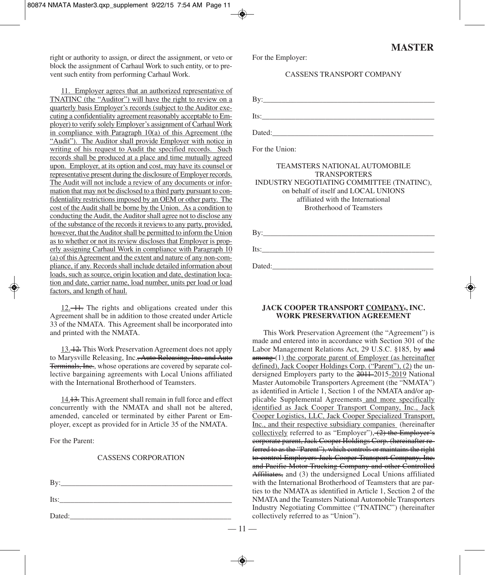right or authority to assign, or direct the assignment, or veto or block the assignment of Carhaul Work to such entity, or to prevent such entity from performing Carhaul Work.

11. Employer agrees that an authorized representative of TNATINC (the "Auditor") will have the right to review on a quarterly basis Employer's records (subject to the Auditor executing a confidentiality agreement reasonably acceptable to Employer) to verify solely Employer's assignment of Carhaul Work in compliance with Paragraph 10(a) of this Agreement (the "Audit"). The Auditor shall provide Employer with notice in writing of his request to Audit the specified records. Such records shall be produced at a place and time mutually agreed upon. Employer, at its option and cost, may have its counsel or representative present during the disclosure of Employer records. The Audit will not include a review of any documents or information that may not be disclosed to a third party pursuant to confidentiality restrictions imposed by an OEM or other party. The cost of the Audit shall be borne by the Union. As a condition to conducting the Audit, the Auditor shall agree not to disclose any of the substance of the recordsit reviewsto any party, provided, however, that the Auditor shall be permitted to inform the Union as to whether or not its review discloses that Employer is properly assigning Carhaul Work in compliance with Paragraph 10 (a) of thisAgreement and the extent and nature of any non-compliance, if any. Records shall include detailed information about loads, such as source, origin location and date, destination location and date, carrier name, load number, units per load or load factors, and length of haul.

12. 11. The rights and obligations created under this Agreement shall be in addition to those created under Article 33 of the NMATA. This Agreement shall be incorporated into and printed with the NMATA.

13. 12. This Work Preservation Agreement does not apply to Marysville Releasing, Inc.<del>, Auto Releasing, Inc. and Auto</del> Terminals, Inc., whose operations are covered by separate collective bargaining agreements with Local Unions affiliated with the International Brotherhood of Teamsters.

14.13. This Agreement shall remain in full force and effect concurrently with the NMATA and shall not be altered, amended, canceled or terminated by either Parent or Employer, except as provided for in Article 35 of the NMATA.

For the Parent:

## CASSENS CORPORATION

| Bv:    |  |  |
|--------|--|--|
| Its:   |  |  |
| Dated: |  |  |

For the Employer:

## CASSENS TRANSPORT COMPANY

By:\_\_\_\_\_\_\_\_\_\_\_\_\_\_\_\_\_\_\_\_\_\_\_\_\_\_\_\_\_\_\_\_\_\_\_\_\_\_\_\_\_\_\_\_\_\_  $Its:\_$ Dated:\_\_\_\_\_\_\_\_\_\_\_\_\_\_\_\_\_\_\_\_\_\_\_\_\_\_\_\_\_\_\_\_\_\_\_\_\_\_\_\_\_\_\_

For the Union:

## TEAMSTERS NATIONAL AUTOMOBILE TRANSPORTERS INDUSTRY NEGOTIATING COMMITTEE (TNATINC), on behalf of itself and LOCAL UNIONS affiliated with the International Brotherhood of Teamsters

| Bv:  |  |  |
|------|--|--|
| Its: |  |  |

Dated:\_\_\_\_\_\_\_\_\_\_\_\_\_\_\_\_\_\_\_\_\_\_\_\_\_\_\_\_\_\_\_\_\_\_\_\_\_\_\_\_\_\_\_

## **JACK COOPER TRANSPORT COMPANY., INC. WORK PRESERVATION AGREEMENT**

This Work Preservation Agreement (the "Agreement") is made and entered into in accordance with Section 301 of the Labor Management Relations Act, 29 U.S.C. §185, by and among (1) the corporate parent of Employer (as hereinafter defined), Jack Cooper Holdings Corp. ("Parent"), (2) the undersigned Employers party to the 2011-2015-2019 National Master Automobile Transporters Agreement (the "NMATA") as identified in Article 1, Section 1 of the NMATA and/or applicable Supplemental Agreements and more specifically identified as Jack Cooper Transport Company, Inc., Jack Cooper Logistics, LLC, Jack Cooper Specialized Transport, Inc., and their respective subsidiary companies (hereinafter collectively referred to as "Employer"),  $(2)$  the Employer's corporate parent, Jack Cooper Holdings Corp. (hereinafter referred to as the "Parent"), which controls or maintains the right to control Employers Jack Cooper Transport Company, Inc. and Pacific Motor Trucking Company and other Controlled Affiliates, and (3) the undersigned Local Unions affiliated with the International Brotherhood of Teamsters that are parties to the NMATA as identified in Article 1, Section 2 of the NMATA and the Teamsters National Automobile Transporters Industry Negotiating Committee ("TNATINC") (hereinafter collectively referred to as "Union").

 $-11-$ 

# **MASTER**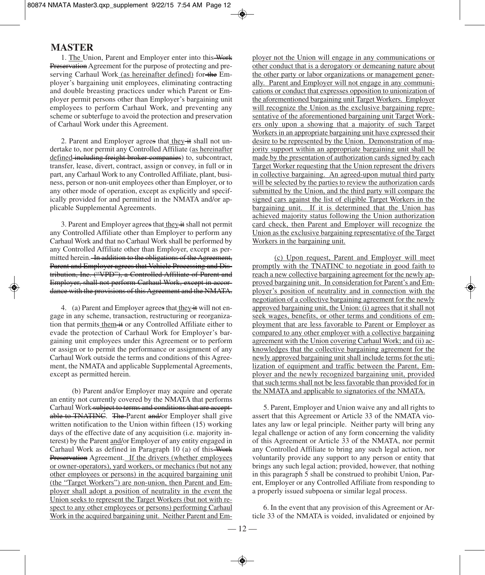1. The Union, Parent and Employer enter into this Work Preservation Agreement for the purpose of protecting and preserving Carhaul Work (as hereinafter defined) for the Employer's bargaining unit employees, eliminating contracting and double breasting practices under which Parent or Employer permit persons other than Employer's bargaining unit employees to perform Carhaul Work, and preventing any scheme or subterfuge to avoid the protection and preservation of Carhaul Work under this Agreement.

2. Parent and Employer agrees that they it shall not undertake to, nor permit any Controlled Affiliate (as hereinafter defined-including freight broker companies) to, subcontract, transfer, lease, divert, contract, assign or convey, in full or in part, any Carhaul Work to any Controlled Affiliate, plant, business, person or non-unit employees other than Employer, or to any other mode of operation, except as explicitly and specifically provided for and permitted in the NMATA and/or applicable Supplemental Agreements.

3. Parent and Employer agrees that they it shall not permit any Controlled Affiliate other than Employer to perform any Carhaul Work and that no Carhaul Work shall be performed by any Controlled Affiliate other than Employer, except as permitted herein. In addition to the obligations of the Agreement, Parent and Employer agrees that Vehicle Processing and Distribution, Inc. ("VPD"), a Controlled Affiliate of Parent and Employer, shall not perform Carhaul Work, except in accordance with the provisions of this Agreement and the NMATA.

4. (a) Parent and Employer agrees that they it will not engage in any scheme, transaction, restructuring or reorganization that permits them it or any Controlled Affiliate either to evade the protection of Carhaul Work for Employer's bargaining unit employees under this Agreement or to perform or assign or to permit the performance or assignment of any Carhaul Work outside the terms and conditions of this Agreement, the NMATA and applicable Supplemental Agreements, except as permitted herein.

(b) Parent and/or Employer may acquire and operate an entity not currently covered by the NMATA that performs Carhaul Work-subject to terms and conditions that are acceptable to TNATINC. The-Parent and/or Employer shall give written notification to the Union within fifteen (15) working days of the effective date of any acquisition (i.e. majority interest) by the Parent and/or Employer of any entity engaged in Carhaul Work as defined in Paragraph 10 (a) of this Work Preservation Agreement. If the drivers (whether employees or owner-operators), yard workers, or mechanics (but not any other employees or persons) in the acquired bargaining unit (the "Target Workers") are non-union, then Parent and Employer shall adopt a position of neutrality in the event the Union seeks to represent the Target Workers (but not with respect to any other employees or persons) performing Carhaul Work in the acquired bargaining unit. Neither Parent and Employer not the Union will engage in any communications or other conduct that is a derogatory or demeaning nature about the other party or labor organizations or management generally. Parent and Employer will not engage in any communications or conduct that expresses opposition to unionization of the aforementioned bargaining unit Target Workers. Employer will recognize the Union as the exclusive bargaining representative of the aforementioned bargaining unit Target Workers only upon a showing that a majority of such Target Workers in an appropriate bargaining unit have expressed their desire to be represented by the Union. Demonstration of majority support within an appropriate bargaining unit shall be made by the presentation of authorization cards signed by each Target Worker requesting that the Union represent the drivers in collective bargaining. An agreed-upon mutual third party will be selected by the parties to review the authorization cards submitted by the Union, and the third party will compare the signed cars against the list of eligible Target Workers in the bargaining unit. If it is determined that the Union has achieved majority status following the Union authorization card check, then Parent and Employer will recognize the Union as the exclusive bargaining representative of the Target Workers in the bargaining unit.

(c) Upon request, Parent and Employer will meet promptly with the TNATINC to negotiate in good faith to reach a new collective bargaining agreement for the newly approved bargaining unit. In consideration for Parent's and Employer's position of neutrality and in connection with the negotiation of a collective bargaining agreement for the newly approved bargaining unit, the Union: (i) agrees that it shall not seek wages, benefits, or other terms and conditions of employment that are less favorable to Parent or Employer as compared to any other employer with a collective bargaining agreement with the Union covering Carhaul Work; and (ii) acknowledges that the collective bargaining agreement for the newly approved bargaining unit shall include terms for the utilization of equipment and traffic between the Parent, Employer and the newly recognized bargaining unit, provided that such terms shall not be less favorable than provided for in the NMATA and applicable to signatories of the NMATA.

5. Parent, Employer and Union waive any and all rights to assert that this Agreement or Article 33 of the NMATA violates any law or legal principle. Neither party will bring any legal challenge or action of any form concerning the validity of this Agreement or Article 33 of the NMATA, nor permit any Controlled Affiliate to bring any such legal action, nor voluntarily provide any support to any person or entity that brings any such legal action; provided, however, that nothing in this paragraph 5 shall be construed to prohibit Union, Parent, Employer or any Controlled Affiliate from responding to a properly issued subpoena or similar legal process.

6. In the event that any provision of this Agreement or Article 33 of the NMATA is voided, invalidated or enjoined by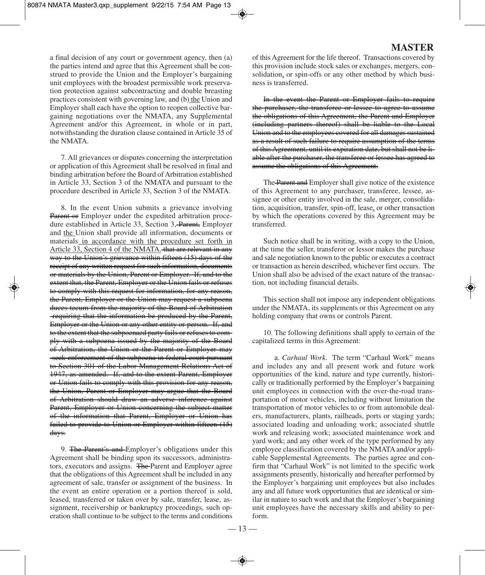a final decision of any court or government agency, then (a) the parties intend and agree that this Agreement shall be construed to provide the Union and the Employer's bargaining unit employees with the broadest permissible work preservation protection against subcontracting and double breasting practices consistent with governing law, and (b) the Union and Employer shall each have the option to reopen collective bargaining negotiations over the NMATA, any Supplemental Agreement and/or this Agreement, in whole or in part, notwithstanding the duration clause contained in Article 35 of the NMATA.

7. All grievances or disputes concerning the interpretation or application of this Agreement shall be resolved in final and binding arbitration before the Board of Arbitration established in Article 33, Section 3 of the NMATA and pursuant to the procedure described in Article 33, Section 3 of the NMATA.

8. In the event Union submits a grievance involving Parent or Employer under the expedited arbitration procedure established in Article 33, Section 3, Parent, Employer and the Union shall provide all information, documents or materials in accordance with the procedure set forth in Article 33, Section 4 of the NMATA. that are relevant in any way to the Union's grievance within fifteen (15) days of the receipt of any written request for such information, documents or materials by the Union, Parent or Employer. If, and to the extent that, the Parent, Employer or the Union fails or refuses to comply with this request for information, for any reason, the Parent, Employer or the Union may request a subpoena duces tecum from the majority of the Board of Arbitration requiring that the information be produced by the Parent, Employer or the Union or any other entity or person. If, and to the extent that the subpoenaed party fails or refuses to comply with a subpoena issued by the majority of the Board of Arbitration, the Union or the Parent or Employer may seek enforcement of the subpoena in federal court pursuant to Section 301 of the Labor-Management Relations Act of 1947, as amended. If, and to the extent Parent, Employer or Union fails to comply with this provision for any reason, the Union, Parent or Employer may argue that the Board of Arbitration should draw an adverse inference against Parent, Employer or Union concerning the subject matter of the information that Parent, Employer or Union has failed to provide to Union or Employer within fifteen (15) days.

9. The Parent's and Employer's obligations under this Agreement shall be binding upon its successors, administrators, executors and assigns. The Parent and Employer agree that the obligations of this Agreement shall be included in any agreement of sale, transfer or assignment of the business. In the event an entire operation or a portion thereof is sold, leased, transferred or taken over by sale, transfer, lease, assignment, receivership or bankruptcy proceedings, such operation shall continue to be subject to the terms and conditions

# **MASTER**

of this Agreement for the life thereof. Transactions covered by this provision include stock sales or exchanges, mergers, consolidation, or spin-offs or any other method by which business is transferred.

In the event the Parent or Employer fails to require the purchaser, the transferee or lessee to agree to assume the obligations of this Agreement, the Parent and Employer (including partners thereof) shall be liable to the Local Union and to the employees covered for all damages sustained as a result of such failure to require assumption of the terms of this Agreement, until its expiration date, but shall not be liable after the purchaser, the transferee or lessee has agreed to assume the obligations of this Agreement.

The Parent and Employer shall give notice of the existence of this Agreement to any purchaser, transferee, lessee, assignee or other entity involved in the sale, merger, consolidation, acquisition, transfer, spin-off, lease, or other transaction by which the operations covered by this Agreement may be transferred.

Such notice shall be in writing, with a copy to the Union, at the time the seller, transferor or lessor makes the purchase and sale negotiation known to the public or executes a contract or transaction as herein described, whichever first occurs. The Union shall also be advised of the exact nature of the transaction, not including financial details.

This section shall not impose any independent obligations under the NMATA, its supplements or this Agreement on any holding company that owns or controls Parent.

10. The following definitions shall apply to certain of the capitalized terms in this Agreement:

a. *Carhaul Work*. The term "Carhaul Work" means and includes any and all present work and future work opportunities of the kind, nature and type currently, historically or traditionally performed by the Employer's bargaining unit employees in connection with the over-the-road transportation of motor vehicles, including without limitation the transportation of motor vehicles to or from automobile dealers, manufacturers, plants, railheads, ports or staging yards; associated loading and unloading work; associated shuttle work and releasing work; associated maintenance work and yard work; and any other work of the type performed by any employee classification covered by the NMATA and/or applicable Supplemental Agreements. The parties agree and confirm that "Carhaul Work" is not limited to the specific work assignments presently, historically and hereafter performed by the Employer's bargaining unit employees but also includes any and all future work opportunities that are identical or similar in nature to such work and that the Employer's bargaining unit employees have the necessary skills and ability to perform.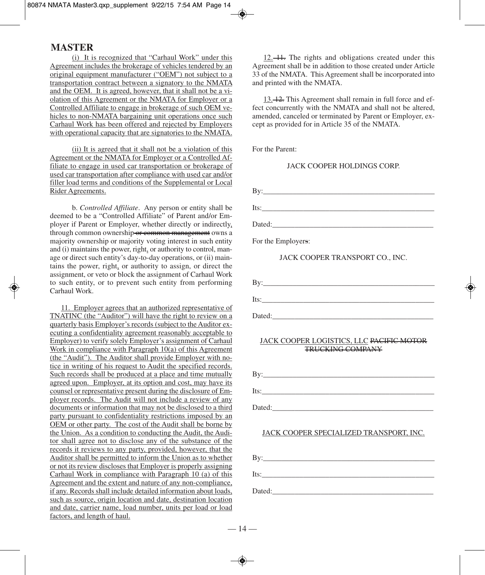(i) It is recognized that "Carhaul Work" under this Agreement includes the brokerage of vehicles tendered by an original equipment manufacturer ("OEM") not subject to a transportation contract between a signatory to the NMATA and the OEM. It is agreed, however, that it shall not be a violation of this Agreement or the NMATA for Employer or a Controlled Affiliate to engage in brokerage of such OEM vehicles to non-NMATA bargaining unit operations once such Carhaul Work has been offered and rejected by Employers with operational capacity that are signatories to the NMATA.

(ii) It is agreed that it shall not be a violation of this Agreement or the NMATA for Employer or a Controlled Affiliate to engage in used car transportation or brokerage of used car transportation after compliance with used car and/or filler load terms and conditions of the Supplemental or Local Rider Agreements.

b. *Controlled Affiliate*. Any person or entity shall be deemed to be a "Controlled Affiliate" of Parent and/or Employer if Parent or Employer, whether directly or indirectly, through common ownership or common management owns a majority ownership or majority voting interest in such entity and (i) maintains the power, right, or authority to control, manage or direct such entity's day-to-day operations, or (ii) maintains the power, right, or authority to assign, or direct the assignment, or veto or block the assignment of Carhaul Work to such entity, or to prevent such entity from performing Carhaul Work.

11. Employer agrees that an authorized representative of TNATINC (the "Auditor") will have the right to review on a quarterly basis Employer's records (subject to the Auditor executing a confidentiality agreement reasonably acceptable to Employer) to verify solely Employer's assignment of Carhaul Work in compliance with Paragraph 10(a) of this Agreement (the "Audit"). The Auditor shall provide Employer with notice in writing of his request to Audit the specified records. Such records shall be produced at a place and time mutually agreed upon. Employer, at its option and cost, may have its counsel or representative present during the disclosure of Employer records. The Audit will not include a review of any documents or information that may not be disclosed to a third party pursuant to confidentiality restrictions imposed by an OEM or other party. The cost of the Audit shall be borne by the Union. As a condition to conducting the Audit, the Auditor shall agree not to disclose any of the substance of the records it reviews to any party, provided, however, that the Auditor shall be permitted to inform the Union as to whether or not its review discloses that Employer is properly assigning Carhaul Work in compliance with Paragraph 10 (a) of this Agreement and the extent and nature of any non-compliance, if any. Records shall include detailed information about loads, such as source, origin location and date, destination location and date, carrier name, load number, units per load or load factors, and length of haul.

12. 11. The rights and obligations created under this Agreement shall be in addition to those created under Article 33 of the NMATA. This Agreement shall be incorporated into and printed with the NMATA.

13. 12. This Agreement shall remain in full force and effect concurrently with the NMATA and shall not be altered, amended, canceled or terminated by Parent or Employer, except as provided for in Article 35 of the NMATA.

For the Parent:

#### JACK COOPER HOLDINGS CORP.

| By:                                                                                                                                                                                                                            |  |
|--------------------------------------------------------------------------------------------------------------------------------------------------------------------------------------------------------------------------------|--|
| Its: the contract of the contract of the contract of the contract of the contract of the contract of the contract of the contract of the contract of the contract of the contract of the contract of the contract of the contr |  |
| Dated: the contract of the contract of the contract of the contract of the contract of the contract of the contract of the contract of the contract of the contract of the contract of the contract of the contract of the con |  |
| For the Employers:                                                                                                                                                                                                             |  |

JACK COOPER TRANSPORT CO., INC.



Dated:\_\_\_\_\_\_\_\_\_\_\_\_\_\_\_\_\_\_\_\_\_\_\_\_\_\_\_\_\_\_\_\_\_\_\_\_\_\_\_\_\_\_\_

## JACK COOPER LOGISTICS, LLC PACIFIC MOTOR TRUCKING COMPANY

| Rv     |  |  |
|--------|--|--|
| Its:   |  |  |
| Dated: |  |  |

## JACK COOPER SPECIALIZED TRANSPORT, INC.

 $\mathbf{By:}$  $Its:\_$ 

Dated:\_\_\_\_\_\_\_\_\_\_\_\_\_\_\_\_\_\_\_\_\_\_\_\_\_\_\_\_\_\_\_\_\_\_\_\_\_\_\_\_\_\_\_

 $-14-$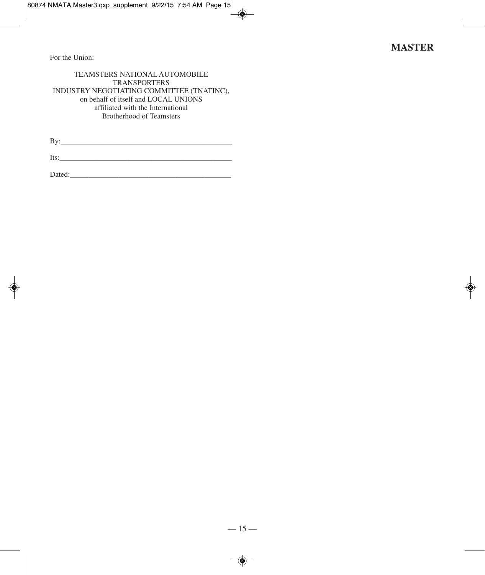For the Union:

## TEAMSTERS NATIONAL AUTOMOBILE TRANSPORTERS INDUSTRY NEGOTIATING COMMITTEE (TNATINC), on behalf of itself and LOCAL UNIONS affiliated with the International Brotherhood of Teamsters

By:\_\_\_\_\_\_\_\_\_\_\_\_\_\_\_\_\_\_\_\_\_\_\_\_\_\_\_\_\_\_\_\_\_\_\_\_\_\_\_\_\_\_\_\_\_\_

 $Its:\_$ 

Dated:\_\_\_\_\_\_\_\_\_\_\_\_\_\_\_\_\_\_\_\_\_\_\_\_\_\_\_\_\_\_\_\_\_\_\_\_\_\_\_\_\_\_\_

 $\bigcirc$